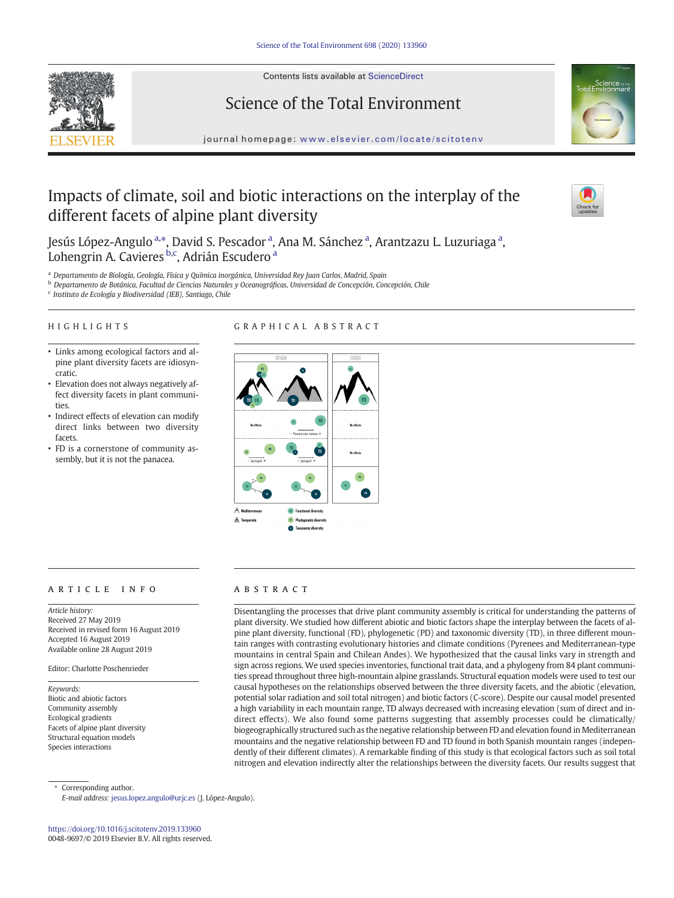

Contents lists available at ScienceDirect

# Science of the Total Environment



journal homepage: <www.elsevier.com/locate/scitotenv>

# Impacts of climate, soil and biotic interactions on the interplay of the different facets of alpine plant diversity



Jesús López-Angulo <sup>a,\*</sup>, David S. Pescador <sup>a</sup>, Ana M. Sánchez <sup>a</sup>, Arantzazu L. Luzuriaga <sup>a</sup>, Lohengrin A. Cavieres <sup>b,c</sup>, Adrián Escudero <sup>a</sup>

<sup>a</sup> Departamento de Biología, Geología, Física y Química inorgánica, Universidad Rey Juan Carlos, Madrid, Spain

**b Departamento de Botánica, Facultad de Ciencias Naturales y Oceanográficas, Universidad de Concepción, Concepción, Chile** 

 $c$  Instituto de Ecología y Biodiversidad (IEB), Santiago, Chile

#### HIGHLIGHTS

## GRAPHICAL ABSTRACT

- Links among ecological factors and alpine plant diversity facets are idiosyncratic.
- Elevation does not always negatively affect diversity facets in plant communities.
- Indirect effects of elevation can modify direct links between two diversity facets.
- FD is a cornerstone of community assembly, but it is not the panacea.



## article info abstract

Article history: Received 27 May 2019 Received in revised form 16 August 2019 Accepted 16 August 2019 Available online 28 August 2019

Editor: Charlotte Poschenrieder

Keywords:

Biotic and abiotic factors Community assembly Ecological gradients Facets of alpine plant diversity Structural equation models Species interactions

Disentangling the processes that drive plant community assembly is critical for understanding the patterns of plant diversity. We studied how different abiotic and biotic factors shape the interplay between the facets of alpine plant diversity, functional (FD), phylogenetic (PD) and taxonomic diversity (TD), in three different mountain ranges with contrasting evolutionary histories and climate conditions (Pyrenees and Mediterranean-type mountains in central Spain and Chilean Andes). We hypothesized that the causal links vary in strength and sign across regions. We used species inventories, functional trait data, and a phylogeny from 84 plant communities spread throughout three high-mountain alpine grasslands. Structural equation models were used to test our causal hypotheses on the relationships observed between the three diversity facets, and the abiotic (elevation, potential solar radiation and soil total nitrogen) and biotic factors (C-score). Despite our causal model presented a high variability in each mountain range, TD always decreased with increasing elevation (sum of direct and indirect effects). We also found some patterns suggesting that assembly processes could be climatically/ biogeographically structured such as the negative relationship between FD and elevation found in Mediterranean mountains and the negative relationship between FD and TD found in both Spanish mountain ranges (independently of their different climates). A remarkable finding of this study is that ecological factors such as soil total nitrogen and elevation indirectly alter the relationships between the diversity facets. Our results suggest that

Corresponding author.

E-mail address: [jesus.lopez.angulo@urjc.es](mailto:jesus.lopez.angulo@urjc.es) (J. López-Angulo).

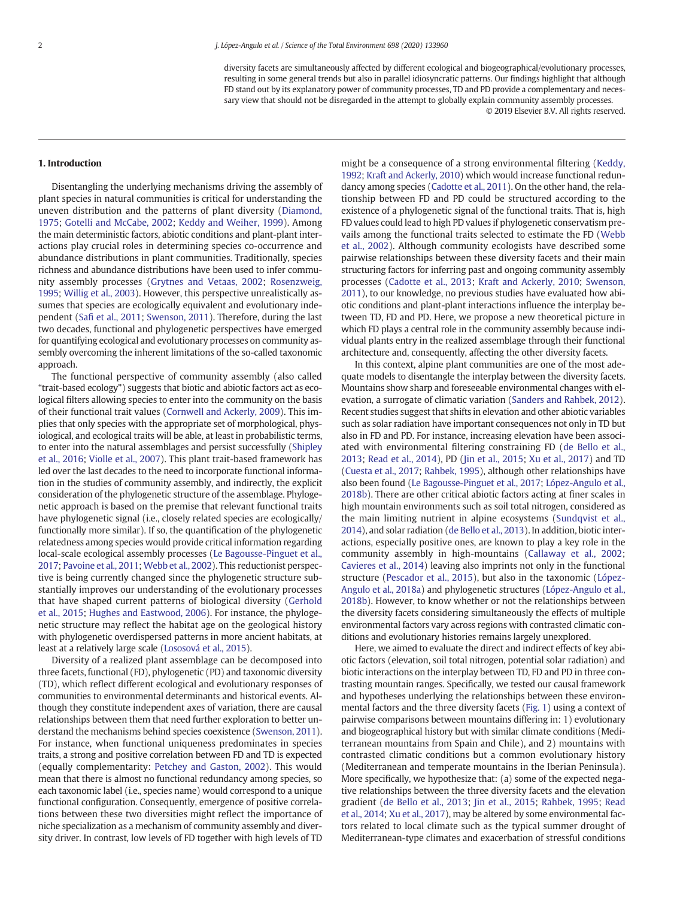diversity facets are simultaneously affected by different ecological and biogeographical/evolutionary processes, resulting in some general trends but also in parallel idiosyncratic patterns. Our findings highlight that although FD stand out by its explanatory power of community processes, TD and PD provide a complementary and necessary view that should not be disregarded in the attempt to globally explain community assembly processes. © 2019 Elsevier B.V. All rights reserved.

### 1. Introduction

Disentangling the underlying mechanisms driving the assembly of plant species in natural communities is critical for understanding the uneven distribution and the patterns of plant diversity [\(Diamond,](#page-8-0) [1975](#page-8-0); [Gotelli and McCabe, 2002;](#page-8-0) [Keddy and Weiher, 1999](#page-8-0)). Among the main deterministic factors, abiotic conditions and plant-plant interactions play crucial roles in determining species co-occurrence and abundance distributions in plant communities. Traditionally, species richness and abundance distributions have been used to infer community assembly processes [\(Grytnes and Vetaas, 2002](#page-8-0); [Rosenzweig,](#page-9-0) [1995;](#page-9-0) [Willig et al., 2003](#page-9-0)). However, this perspective unrealistically assumes that species are ecologically equivalent and evolutionary independent (Safi [et al., 2011;](#page-9-0) [Swenson, 2011\)](#page-9-0). Therefore, during the last two decades, functional and phylogenetic perspectives have emerged for quantifying ecological and evolutionary processes on community assembly overcoming the inherent limitations of the so-called taxonomic approach.

The functional perspective of community assembly (also called "trait-based ecology") suggests that biotic and abiotic factors act as ecological filters allowing species to enter into the community on the basis of their functional trait values [\(Cornwell and Ackerly, 2009](#page-8-0)). This implies that only species with the appropriate set of morphological, physiological, and ecological traits will be able, at least in probabilistic terms, to enter into the natural assemblages and persist successfully [\(Shipley](#page-9-0) [et al., 2016;](#page-9-0) [Violle et al., 2007\)](#page-9-0). This plant trait-based framework has led over the last decades to the need to incorporate functional information in the studies of community assembly, and indirectly, the explicit consideration of the phylogenetic structure of the assemblage. Phylogenetic approach is based on the premise that relevant functional traits have phylogenetic signal (i.e., closely related species are ecologically/ functionally more similar). If so, the quantification of the phylogenetic relatedness among species would provide critical information regarding local-scale ecological assembly processes ([Le Bagousse-Pinguet et al.,](#page-8-0) [2017;](#page-8-0) [Pavoine et al., 2011;](#page-8-0) [Webb et al., 2002](#page-9-0)). This reductionist perspective is being currently changed since the phylogenetic structure substantially improves our understanding of the evolutionary processes that have shaped current patterns of biological diversity [\(Gerhold](#page-8-0) [et al., 2015;](#page-8-0) [Hughes and Eastwood, 2006](#page-8-0)). For instance, the phylogenetic structure may reflect the habitat age on the geological history with phylogenetic overdispersed patterns in more ancient habitats, at least at a relatively large scale [\(Lososová et al., 2015\)](#page-8-0).

Diversity of a realized plant assemblage can be decomposed into three facets, functional (FD), phylogenetic (PD) and taxonomic diversity (TD), which reflect different ecological and evolutionary responses of communities to environmental determinants and historical events. Although they constitute independent axes of variation, there are causal relationships between them that need further exploration to better understand the mechanisms behind species coexistence [\(Swenson, 2011\)](#page-9-0). For instance, when functional uniqueness predominates in species traits, a strong and positive correlation between FD and TD is expected (equally complementarity: [Petchey and Gaston, 2002\)](#page-9-0). This would mean that there is almost no functional redundancy among species, so each taxonomic label (i.e., species name) would correspond to a unique functional configuration. Consequently, emergence of positive correlations between these two diversities might reflect the importance of niche specialization as a mechanism of community assembly and diversity driver. In contrast, low levels of FD together with high levels of TD might be a consequence of a strong environmental filtering ([Keddy,](#page-8-0) [1992;](#page-8-0) [Kraft and Ackerly, 2010](#page-8-0)) which would increase functional redundancy among species [\(Cadotte et al., 2011](#page-7-0)). On the other hand, the relationship between FD and PD could be structured according to the existence of a phylogenetic signal of the functional traits. That is, high FD values could lead to high PD values if phylogenetic conservatism prevails among the functional traits selected to estimate the FD ([Webb](#page-9-0) [et al., 2002\)](#page-9-0). Although community ecologists have described some pairwise relationships between these diversity facets and their main structuring factors for inferring past and ongoing community assembly processes ([Cadotte et al., 2013](#page-7-0); [Kraft and Ackerly, 2010](#page-8-0); [Swenson,](#page-9-0) [2011\)](#page-9-0), to our knowledge, no previous studies have evaluated how abiotic conditions and plant-plant interactions influence the interplay between TD, FD and PD. Here, we propose a new theoretical picture in which FD plays a central role in the community assembly because individual plants entry in the realized assemblage through their functional architecture and, consequently, affecting the other diversity facets.

In this context, alpine plant communities are one of the most adequate models to disentangle the interplay between the diversity facets. Mountains show sharp and foreseeable environmental changes with elevation, a surrogate of climatic variation ([Sanders and Rahbek, 2012](#page-9-0)). Recent studies suggest that shifts in elevation and other abiotic variables such as solar radiation have important consequences not only in TD but also in FD and PD. For instance, increasing elevation have been associated with environmental filtering constraining FD ([de Bello et al.,](#page-7-0) [2013](#page-7-0); [Read et al., 2014](#page-9-0)), PD ([Jin et al., 2015;](#page-8-0) [Xu et al., 2017\)](#page-9-0) and TD [\(Cuesta et al., 2017](#page-8-0); [Rahbek, 1995\)](#page-9-0), although other relationships have also been found ([Le Bagousse-Pinguet et al., 2017;](#page-8-0) [López-Angulo et al.,](#page-8-0) [2018b](#page-8-0)). There are other critical abiotic factors acting at finer scales in high mountain environments such as soil total nitrogen, considered as the main limiting nutrient in alpine ecosystems ([Sundqvist et al.,](#page-9-0) [2014\)](#page-9-0), and solar radiation ([de Bello et al., 2013](#page-7-0)). In addition, biotic interactions, especially positive ones, are known to play a key role in the community assembly in high-mountains ([Callaway et al., 2002](#page-7-0); [Cavieres et al., 2014\)](#page-7-0) leaving also imprints not only in the functional structure ([Pescador et al., 2015](#page-9-0)), but also in the taxonomic [\(López-](#page-8-0)[Angulo et al., 2018a](#page-8-0)) and phylogenetic structures ([López-Angulo et al.,](#page-8-0) [2018b](#page-8-0)). However, to know whether or not the relationships between the diversity facets considering simultaneously the effects of multiple environmental factors vary across regions with contrasted climatic conditions and evolutionary histories remains largely unexplored.

Here, we aimed to evaluate the direct and indirect effects of key abiotic factors (elevation, soil total nitrogen, potential solar radiation) and biotic interactions on the interplay between TD, FD and PD in three contrasting mountain ranges. Specifically, we tested our causal framework and hypotheses underlying the relationships between these environmental factors and the three diversity facets ([Fig. 1\)](#page-2-0) using a context of pairwise comparisons between mountains differing in: 1) evolutionary and biogeographical history but with similar climate conditions (Mediterranean mountains from Spain and Chile), and 2) mountains with contrasted climatic conditions but a common evolutionary history (Mediterranean and temperate mountains in the Iberian Peninsula). More specifically, we hypothesize that: (a) some of the expected negative relationships between the three diversity facets and the elevation gradient [\(de Bello et al., 2013;](#page-7-0) [Jin et al., 2015](#page-8-0); [Rahbek, 1995](#page-9-0); [Read](#page-9-0) [et al., 2014;](#page-9-0) [Xu et al., 2017](#page-9-0)), may be altered by some environmental factors related to local climate such as the typical summer drought of Mediterranean-type climates and exacerbation of stressful conditions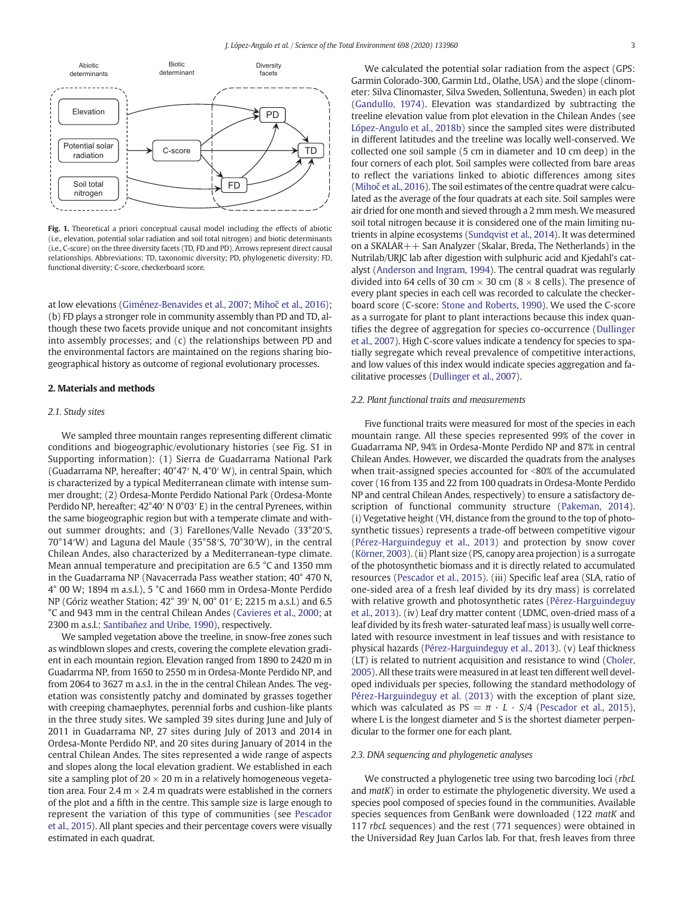<span id="page-2-0"></span>

Fig. 1. Theoretical a priori conceptual causal model including the effects of abiotic (i.e., elevation, potential solar radiation and soil total nitrogen) and biotic determinants (i.e., C-score) on the three diversity facets (TD, FD and PD). Arrows represent direct causal relationships. Abbreviations: TD, taxonomic diversity; PD, phylogenetic diversity; FD, functional diversity; C-score, checkerboard score.

at low elevations [\(Giménez-Benavides et al., 2007;](#page-8-0) Mihoč [et al., 2016](#page-8-0)); (b) FD plays a stronger role in community assembly than PD and TD, although these two facets provide unique and not concomitant insights into assembly processes; and (c) the relationships between PD and the environmental factors are maintained on the regions sharing biogeographical history as outcome of regional evolutionary processes.

#### 2. Materials and methods

## 2.1. Study sites

We sampled three mountain ranges representing different climatic conditions and biogeographic/evolutionary histories (see Fig. S1 in Supporting information): (1) Sierra de Guadarrama National Park (Guadarrama NP, hereafter; 40°47′ N, 4°0′ W), in central Spain, which is characterized by a typical Mediterranean climate with intense summer drought; (2) Ordesa-Monte Perdido National Park (Ordesa-Monte Perdido NP, hereafter; 42°40′ N 0°03′ E) in the central Pyrenees, within the same biogeographic region but with a temperate climate and without summer droughts; and (3) Farellones/Valle Nevado (33°20′S, 70°14′W) and Laguna del Maule (35°58′S, 70°30′W), in the central Chilean Andes, also characterized by a Mediterranean-type climate. Mean annual temperature and precipitation are 6.5 °C and 1350 mm in the Guadarrama NP (Navacerrada Pass weather station; 40° 470 N, 4° 00 W; 1894 m a.s.l.), 5 °C and 1660 mm in Ordesa-Monte Perdido NP (Góriz weather Station; 42° 39′ N, 00° 01′ E; 2215 m a.s.l.) and 6.5 °C and 943 mm in the central Chilean Andes [\(Cavieres et al., 2000;](#page-7-0) at 2300 m a.s.l.: [Santibañez and Uribe, 1990\)](#page-9-0), respectively.

We sampled vegetation above the treeline, in snow-free zones such as windblown slopes and crests, covering the complete elevation gradient in each mountain region. Elevation ranged from 1890 to 2420 m in Guadarrma NP, from 1650 to 2550 m in Ordesa-Monte Perdido NP, and from 2064 to 3627 m a.s.l. in the in the central Chilean Andes. The vegetation was consistently patchy and dominated by grasses together with creeping chamaephytes, perennial forbs and cushion-like plants in the three study sites. We sampled 39 sites during June and July of 2011 in Guadarrama NP, 27 sites during July of 2013 and 2014 in Ordesa-Monte Perdido NP, and 20 sites during January of 2014 in the central Chilean Andes. The sites represented a wide range of aspects and slopes along the local elevation gradient. We established in each site a sampling plot of  $20 \times 20$  m in a relatively homogeneous vegetation area. Four 2.4 m  $\times$  2.4 m quadrats were established in the corners of the plot and a fifth in the centre. This sample size is large enough to represent the variation of this type of communities (see [Pescador](#page-9-0) [et al., 2015\)](#page-9-0). All plant species and their percentage covers were visually estimated in each quadrat.

We calculated the potential solar radiation from the aspect (GPS: Garmin Colorado-300, Garmin Ltd., Olathe, USA) and the slope (clinometer: Silva Clinomaster, Silva Sweden, Sollentuna, Sweden) in each plot [\(Gandullo, 1974](#page-8-0)). Elevation was standardized by subtracting the treeline elevation value from plot elevation in the Chilean Andes (see [López-Angulo et al., 2018b\)](#page-8-0) since the sampled sites were distributed in different latitudes and the treeline was locally well-conserved. We collected one soil sample (5 cm in diameter and 10 cm deep) in the four corners of each plot. Soil samples were collected from bare areas to reflect the variations linked to abiotic differences among sites (Mihoč [et al., 2016](#page-8-0)). The soil estimates of the centre quadrat were calculated as the average of the four quadrats at each site. Soil samples were air dried for one month and sieved through a 2 mm mesh. We measured soil total nitrogen because it is considered one of the main limiting nutrients in alpine ecosystems [\(Sundqvist et al., 2014\)](#page-9-0). It was determined on a SKALAR $++$  San Analyzer (Skalar, Breda, The Netherlands) in the Nutrilab/URJC lab after digestion with sulphuric acid and Kjedahl's catalyst [\(Anderson and Ingram, 1994](#page-7-0)). The central quadrat was regularly divided into 64 cells of 30 cm  $\times$  30 cm (8  $\times$  8 cells). The presence of every plant species in each cell was recorded to calculate the checkerboard score (C-score: [Stone and Roberts, 1990\)](#page-9-0). We used the C-score as a surrogate for plant to plant interactions because this index quantifies the degree of aggregation for species co-occurrence [\(Dullinger](#page-8-0) [et al., 2007\)](#page-8-0). High C-score values indicate a tendency for species to spatially segregate which reveal prevalence of competitive interactions, and low values of this index would indicate species aggregation and facilitative processes ([Dullinger et al., 2007](#page-8-0)).

#### 2.2. Plant functional traits and measurements

Five functional traits were measured for most of the species in each mountain range. All these species represented 99% of the cover in Guadarrama NP, 94% in Ordesa-Monte Perdido NP and 87% in central Chilean Andes. However, we discarded the quadrats from the analyses when trait-assigned species accounted for  $<80%$  of the accumulated cover (16 from 135 and 22 from 100 quadrats in Ordesa-Monte Perdido NP and central Chilean Andes, respectively) to ensure a satisfactory description of functional community structure [\(Pakeman, 2014](#page-8-0)). (i) Vegetative height (VH, distance from the ground to the top of photosynthetic tissues) represents a trade-off between competitive vigour [\(Pérez-Harguindeguy et al., 2013](#page-9-0)) and protection by snow cover [\(Körner, 2003\)](#page-8-0). (ii) Plant size (PS, canopy area projection) is a surrogate of the photosynthetic biomass and it is directly related to accumulated resources [\(Pescador et al., 2015](#page-9-0)). (iii) Specific leaf area (SLA, ratio of one-sided area of a fresh leaf divided by its dry mass) is correlated with relative growth and photosynthetic rates [\(Pérez-Harguindeguy](#page-9-0) [et al., 2013](#page-9-0)). (iv) Leaf dry matter content (LDMC, oven-dried mass of a leaf divided by its fresh water-saturated leaf mass) is usually well correlated with resource investment in leaf tissues and with resistance to physical hazards ([Pérez-Harguindeguy et al., 2013\)](#page-9-0). (v) Leaf thickness (LT) is related to nutrient acquisition and resistance to wind [\(Choler,](#page-8-0) [2005](#page-8-0)). All these traits were measured in at least ten different well developed individuals per species, following the standard methodology of [Pérez-Harguindeguy et al. \(2013\)](#page-9-0) with the exception of plant size, which was calculated as  $PS = \pi \cdot L \cdot S/4$  ([Pescador et al., 2015](#page-9-0)), where L is the longest diameter and S is the shortest diameter perpendicular to the former one for each plant.

#### 2.3. DNA sequencing and phylogenetic analyses

We constructed a phylogenetic tree using two barcoding loci (*rbcL*) and matK) in order to estimate the phylogenetic diversity. We used a species pool composed of species found in the communities. Available species sequences from GenBank were downloaded (122 matK and 117 rbcL sequences) and the rest (771 sequences) were obtained in the Universidad Rey Juan Carlos lab. For that, fresh leaves from three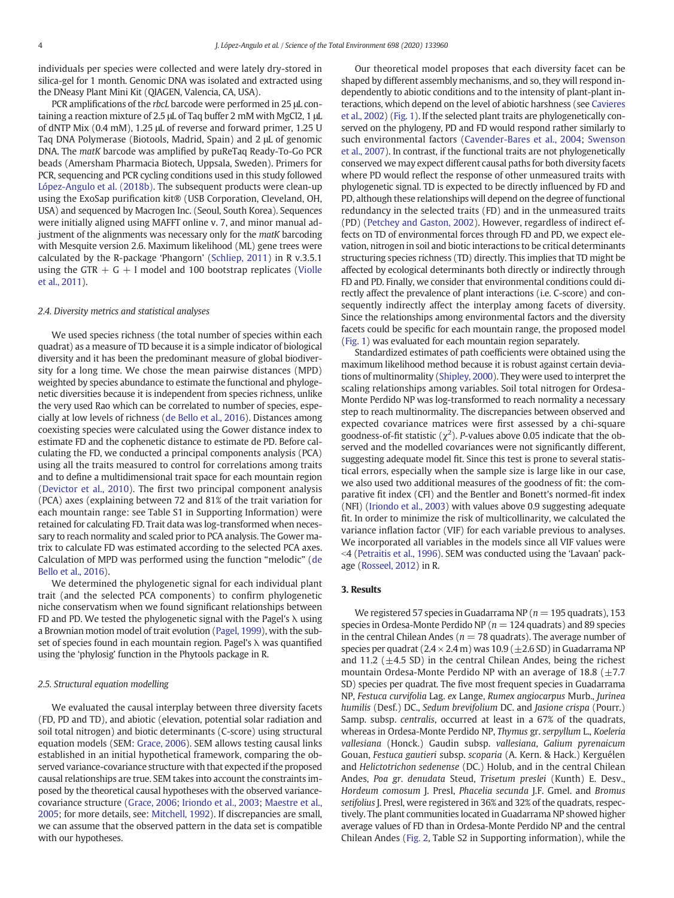individuals per species were collected and were lately dry-stored in silica-gel for 1 month. Genomic DNA was isolated and extracted using the DNeasy Plant Mini Kit (QIAGEN, Valencia, CA, USA).

PCR amplifications of the rbcL barcode were performed in 25 μL containing a reaction mixture of 2.5 μL of Taq buffer 2 mM with MgCl2, 1 μL of dNTP Mix (0.4 mM), 1.25 μL of reverse and forward primer, 1.25 U Taq DNA Polymerase (Biotools, Madrid, Spain) and 2 μL of genomic DNA. The matK barcode was amplified by puReTaq Ready-To-Go PCR beads (Amersham Pharmacia Biotech, Uppsala, Sweden). Primers for PCR, sequencing and PCR cycling conditions used in this study followed [López-Angulo et al. \(2018b\)](#page-8-0). The subsequent products were clean-up using the ExoSap purification kit® (USB Corporation, Cleveland, OH, USA) and sequenced by Macrogen Inc. (Seoul, South Korea). Sequences were initially aligned using MAFFT online v. 7, and minor manual adjustment of the alignments was necessary only for the matK barcoding with Mesquite version 2.6. Maximum likelihood (ML) gene trees were calculated by the R-package 'Phangorn' ([Schliep, 2011\)](#page-9-0) in R v.3.5.1 using the GTR  $+$  G  $+$  I model and 100 bootstrap replicates ([Violle](#page-9-0) [et al., 2011](#page-9-0)).

## 2.4. Diversity metrics and statistical analyses

We used species richness (the total number of species within each quadrat) as a measure of TD because it is a simple indicator of biological diversity and it has been the predominant measure of global biodiversity for a long time. We chose the mean pairwise distances (MPD) weighted by species abundance to estimate the functional and phylogenetic diversities because it is independent from species richness, unlike the very used Rao which can be correlated to number of species, especially at low levels of richness [\(de Bello et al., 2016](#page-8-0)). Distances among coexisting species were calculated using the Gower distance index to estimate FD and the cophenetic distance to estimate de PD. Before calculating the FD, we conducted a principal components analysis (PCA) using all the traits measured to control for correlations among traits and to define a multidimensional trait space for each mountain region [\(Devictor et al., 2010\)](#page-8-0). The first two principal component analysis (PCA) axes (explaining between 72 and 81% of the trait variation for each mountain range: see Table S1 in Supporting Information) were retained for calculating FD. Trait data was log-transformed when necessary to reach normality and scaled prior to PCA analysis. The Gower matrix to calculate FD was estimated according to the selected PCA axes. Calculation of MPD was performed using the function "melodic" ([de](#page-8-0) [Bello et al., 2016\)](#page-8-0).

We determined the phylogenetic signal for each individual plant trait (and the selected PCA components) to confirm phylogenetic niche conservatism when we found significant relationships between FD and PD. We tested the phylogenetic signal with the Pagel's  $\lambda$  using a Brownian motion model of trait evolution ([Pagel, 1999\)](#page-8-0), with the subset of species found in each mountain region. Pagel's λ was quantified using the 'phylosig' function in the Phytools package in R.

#### 2.5. Structural equation modelling

We evaluated the causal interplay between three diversity facets (FD, PD and TD), and abiotic (elevation, potential solar radiation and soil total nitrogen) and biotic determinants (C-score) using structural equation models (SEM: [Grace, 2006](#page-8-0)). SEM allows testing causal links established in an initial hypothetical framework, comparing the observed variance-covariance structure with that expected if the proposed causal relationships are true. SEM takes into account the constraints imposed by the theoretical causal hypotheses with the observed variancecovariance structure [\(Grace, 2006](#page-8-0); [Iriondo et al., 2003](#page-8-0); [Maestre et al.,](#page-8-0) [2005;](#page-8-0) for more details, see: [Mitchell, 1992](#page-8-0)). If discrepancies are small, we can assume that the observed pattern in the data set is compatible with our hypotheses.

Our theoretical model proposes that each diversity facet can be shaped by different assembly mechanisms, and so, they will respond independently to abiotic conditions and to the intensity of plant-plant interactions, which depend on the level of abiotic harshness (see [Cavieres](#page-7-0) [et al., 2002\)](#page-7-0) [\(Fig. 1](#page-2-0)). If the selected plant traits are phylogenetically conserved on the phylogeny, PD and FD would respond rather similarly to such environmental factors ([Cavender-Bares et al., 2004;](#page-7-0) [Swenson](#page-9-0) [et al., 2007](#page-9-0)). In contrast, if the functional traits are not phylogenetically conserved we may expect different causal paths for both diversity facets where PD would reflect the response of other unmeasured traits with phylogenetic signal. TD is expected to be directly influenced by FD and PD, although these relationships will depend on the degree of functional redundancy in the selected traits (FD) and in the unmeasured traits (PD) ([Petchey and Gaston, 2002\)](#page-9-0). However, regardless of indirect effects on TD of environmental forces through FD and PD, we expect elevation, nitrogen in soil and biotic interactions to be critical determinants structuring species richness (TD) directly. This implies that TD might be affected by ecological determinants both directly or indirectly through FD and PD. Finally, we consider that environmental conditions could directly affect the prevalence of plant interactions (i.e. C-score) and consequently indirectly affect the interplay among facets of diversity. Since the relationships among environmental factors and the diversity facets could be specific for each mountain range, the proposed model [\(Fig. 1\)](#page-2-0) was evaluated for each mountain region separately.

Standardized estimates of path coefficients were obtained using the maximum likelihood method because it is robust against certain deviations of multinormality [\(Shipley, 2000\)](#page-9-0). They were used to interpret the scaling relationships among variables. Soil total nitrogen for Ordesa-Monte Perdido NP was log-transformed to reach normality a necessary step to reach multinormality. The discrepancies between observed and expected covariance matrices were first assessed by a chi-square goodness-of-fit statistic ( $\chi^2$ ). *P*-values above 0.05 indicate that the observed and the modelled covariances were not significantly different, suggesting adequate model fit. Since this test is prone to several statistical errors, especially when the sample size is large like in our case, we also used two additional measures of the goodness of fit: the comparative fit index (CFI) and the Bentler and Bonett's normed-fit index (NFI) [\(Iriondo et al., 2003\)](#page-8-0) with values above 0.9 suggesting adequate fit. In order to minimize the risk of multicollinarity, we calculated the variance inflation factor (VIF) for each variable previous to analyses. We incorporated all variables in the models since all VIF values were <4 [\(Petraitis et al., 1996](#page-9-0)). SEM was conducted using the 'Lavaan' package ([Rosseel, 2012](#page-9-0)) in R.

## 3. Results

We registered 57 species in Guadarrama NP ( $n = 195$  quadrats), 153 species in Ordesa-Monte Perdido NP ( $n = 124$  quadrats) and 89 species in the central Chilean Andes ( $n = 78$  quadrats). The average number of species per quadrat  $(2.4 \times 2.4 \text{ m})$  was  $10.9 \ (\pm 2.6 \text{ SD})$  in Guadarrama NP and 11.2 ( $\pm$ 4.5 SD) in the central Chilean Andes, being the richest mountain Ordesa-Monte Perdido NP with an average of 18.8 ( $\pm$ 7.7 SD) species per quadrat. The five most frequent species in Guadarrama NP, Festuca curvifolia Lag. ex Lange, Rumex angiocarpus Murb., Jurinea humilis (Desf.) DC., Sedum brevifolium DC. and Jasione crispa (Pourr.) Samp. subsp. centralis, occurred at least in a 67% of the quadrats, whereas in Ordesa-Monte Perdido NP, Thymus gr. serpyllum L., Koeleria vallesiana (Honck.) Gaudin subsp. vallesiana, Galium pyrenaicum Gouan, Festuca gautieri subsp. scoparia (A. Kern. & Hack.) Kerguélen and Helictotrichon sedenense (DC.) Holub, and in the central Chilean Andes, Poa gr. denudata Steud, Trisetum preslei (Kunth) E. Desv., Hordeum comosum J. Presl, Phacelia secunda J.F. Gmel. and Bromus setifolius J. Presl, were registered in 36% and 32% of the quadrats, respectively. The plant communities located in Guadarrama NP showed higher average values of FD than in Ordesa-Monte Perdido NP and the central Chilean Andes [\(Fig. 2,](#page-4-0) Table S2 in Supporting information), while the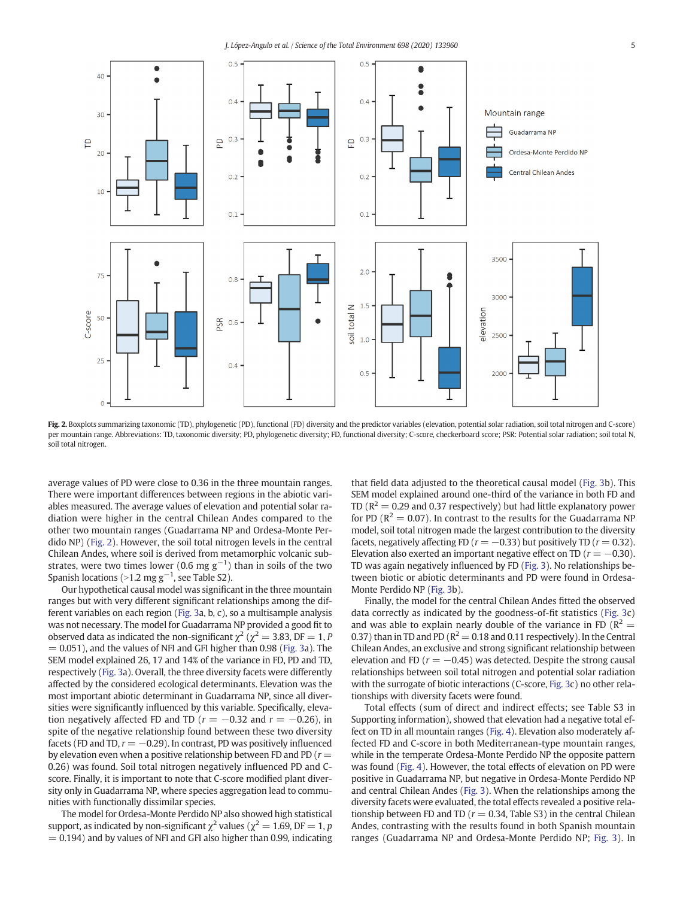J. López-Angulo et al. / Science of the Total Environment 698 (2020) 133960 5

<span id="page-4-0"></span>

Fig. 2. Boxplots summarizing taxonomic (TD), phylogenetic (PD), functional (FD) diversity and the predictor variables (elevation, potential solar radiation, soil total nitrogen and C-score) per mountain range. Abbreviations: TD, taxonomic diversity; PD, phylogenetic diversity; FD, functional diversity; C-score, checkerboard score; PSR: Potential solar radiation; soil total N, soil total nitrogen.

average values of PD were close to 0.36 in the three mountain ranges. There were important differences between regions in the abiotic variables measured. The average values of elevation and potential solar radiation were higher in the central Chilean Andes compared to the other two mountain ranges (Guadarrama NP and Ordesa-Monte Perdido NP) (Fig. 2). However, the soil total nitrogen levels in the central Chilean Andes, where soil is derived from metamorphic volcanic substrates, were two times lower (0.6 mg  $\rm g^{-1})$  than in soils of the two Spanish locations (>1.2 mg g<sup>−1</sup>, see Table S2).

Our hypothetical causal model was significant in the three mountain ranges but with very different significant relationships among the different variables on each region [\(Fig. 3a](#page-5-0), b, c), so a multisample analysis was not necessary. The model for Guadarrama NP provided a good fit to observed data as indicated the non-significant  $\chi^2$  ( $\chi^2$  = 3.83, DF = 1, P  $= 0.051$ ), and the values of NFI and GFI higher than 0.98 [\(Fig. 3](#page-5-0)a). The SEM model explained 26, 17 and 14% of the variance in FD, PD and TD, respectively [\(Fig. 3a](#page-5-0)). Overall, the three diversity facets were differently affected by the considered ecological determinants. Elevation was the most important abiotic determinant in Guadarrama NP, since all diversities were significantly influenced by this variable. Specifically, elevation negatively affected FD and TD ( $r = -0.32$  and  $r = -0.26$ ), in spite of the negative relationship found between these two diversity facets (FD and TD,  $r = -0.29$ ). In contrast, PD was positively influenced by elevation even when a positive relationship between FD and PD ( $r =$ 0.26) was found. Soil total nitrogen negatively influenced PD and Cscore. Finally, it is important to note that C-score modified plant diversity only in Guadarrama NP, where species aggregation lead to communities with functionally dissimilar species.

The model for Ordesa-Monte Perdido NP also showed high statistical support, as indicated by non-significant  $\chi^2$  values ( $\chi^2 = 1.69$ , DF = 1, p  $= 0.194$ ) and by values of NFI and GFI also higher than 0.99, indicating that field data adjusted to the theoretical causal model [\(Fig. 3](#page-5-0)b). This SEM model explained around one-third of the variance in both FD and TD ( $R^2 = 0.29$  and 0.37 respectively) but had little explanatory power for PD ( $R^2 = 0.07$ ). In contrast to the results for the Guadarrama NP model, soil total nitrogen made the largest contribution to the diversity facets, negatively affecting FD ( $r = -0.33$ ) but positively TD ( $r = 0.32$ ). Elevation also exerted an important negative effect on TD ( $r = -0.30$ ). TD was again negatively influenced by FD ([Fig. 3\)](#page-5-0). No relationships between biotic or abiotic determinants and PD were found in Ordesa-Monte Perdido NP [\(Fig. 3b](#page-5-0)).

Finally, the model for the central Chilean Andes fitted the observed data correctly as indicated by the goodness-of-fit statistics [\(Fig. 3](#page-5-0)c) and was able to explain nearly double of the variance in FD ( $R^2 =$ 0.37) than in TD and PD ( $R^2 = 0.18$  and 0.11 respectively). In the Central Chilean Andes, an exclusive and strong significant relationship between elevation and FD ( $r = -0.45$ ) was detected. Despite the strong causal relationships between soil total nitrogen and potential solar radiation with the surrogate of biotic interactions (C-score, [Fig. 3c](#page-5-0)) no other relationships with diversity facets were found.

Total effects (sum of direct and indirect effects; see Table S3 in Supporting information), showed that elevation had a negative total effect on TD in all mountain ranges [\(Fig. 4](#page-6-0)). Elevation also moderately affected FD and C-score in both Mediterranean-type mountain ranges, while in the temperate Ordesa-Monte Perdido NP the opposite pattern was found ([Fig. 4\)](#page-6-0). However, the total effects of elevation on PD were positive in Guadarrama NP, but negative in Ordesa-Monte Perdido NP and central Chilean Andes [\(Fig. 3\)](#page-5-0). When the relationships among the diversity facets were evaluated, the total effects revealed a positive relationship between FD and TD ( $r = 0.34$ , Table S3) in the central Chilean Andes, contrasting with the results found in both Spanish mountain ranges (Guadarrama NP and Ordesa-Monte Perdido NP; [Fig. 3\)](#page-5-0). In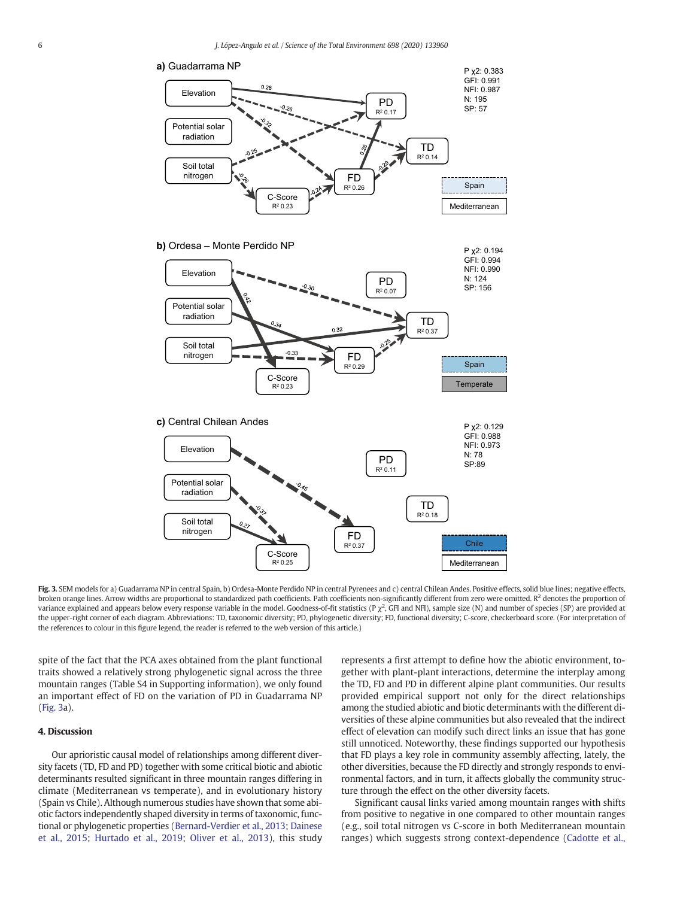<span id="page-5-0"></span>

#### **b)** Ordesa – Monte Perdido NP





Fig. 3. SEM models for a) Guadarrama NP in central Spain, b) Ordesa-Monte Perdido NP in central Pyrenees and c) central Chilean Andes. Positive effects, solid blue lines; negative effects, broken orange lines. Arrow widths are proportional to standardized path coefficients. Path coefficients non-significantly different from zero were omitted. R<sup>2</sup> denotes the proportion of variance explained and appears below every response variable in the model. Goodness-of-fit statistics (P  $\chi^2$ , GFI and NFI), sample size (N) and number of species (SP) are provided at the upper-right corner of each diagram. Abbreviations: TD, taxonomic diversity; PD, phylogenetic diversity; FD, functional diversity; C-score, checkerboard score. (For interpretation of the references to colour in this figure legend, the reader is referred to the web version of this article.)

spite of the fact that the PCA axes obtained from the plant functional traits showed a relatively strong phylogenetic signal across the three mountain ranges (Table S4 in Supporting information), we only found an important effect of FD on the variation of PD in Guadarrama NP (Fig. 3a).

## 4. Discussion

Our aprioristic causal model of relationships among different diversity facets (TD, FD and PD) together with some critical biotic and abiotic determinants resulted significant in three mountain ranges differing in climate (Mediterranean vs temperate), and in evolutionary history (Spain vs Chile). Although numerous studies have shown that some abiotic factors independently shaped diversity in terms of taxonomic, functional or phylogenetic properties ([Bernard-Verdier et al., 2013](#page-7-0); [Dainese](#page-8-0) [et al., 2015](#page-8-0); [Hurtado et al., 2019](#page-8-0); [Oliver et al., 2013\)](#page-8-0), this study represents a first attempt to define how the abiotic environment, together with plant-plant interactions, determine the interplay among the TD, FD and PD in different alpine plant communities. Our results provided empirical support not only for the direct relationships among the studied abiotic and biotic determinants with the different diversities of these alpine communities but also revealed that the indirect effect of elevation can modify such direct links an issue that has gone still unnoticed. Noteworthy, these findings supported our hypothesis that FD plays a key role in community assembly affecting, lately, the other diversities, because the FD directly and strongly responds to environmental factors, and in turn, it affects globally the community structure through the effect on the other diversity facets.

Significant causal links varied among mountain ranges with shifts from positive to negative in one compared to other mountain ranges (e.g., soil total nitrogen vs C-score in both Mediterranean mountain ranges) which suggests strong context-dependence [\(Cadotte et al.,](#page-7-0)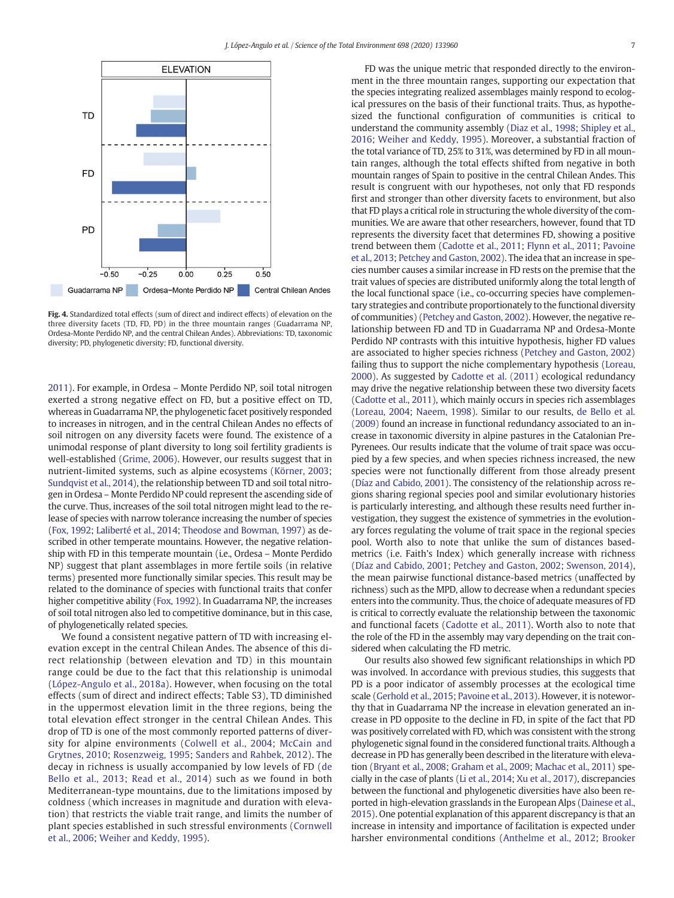<span id="page-6-0"></span>

Fig. 4. Standardized total effects (sum of direct and indirect effects) of elevation on the three diversity facets (TD, FD, PD) in the three mountain ranges (Guadarrama NP, Ordesa-Monte Perdido NP, and the central Chilean Andes). Abbreviations: TD, taxonomic diversity; PD, phylogenetic diversity; FD, functional diversity.

[2011\)](#page-7-0). For example, in Ordesa – Monte Perdido NP, soil total nitrogen exerted a strong negative effect on FD, but a positive effect on TD, whereas in Guadarrama NP, the phylogenetic facet positively responded to increases in nitrogen, and in the central Chilean Andes no effects of soil nitrogen on any diversity facets were found. The existence of a unimodal response of plant diversity to long soil fertility gradients is well-established [\(Grime, 2006](#page-8-0)). However, our results suggest that in nutrient-limited systems, such as alpine ecosystems ([Körner, 2003;](#page-8-0) [Sundqvist et al., 2014](#page-9-0)), the relationship between TD and soil total nitrogen in Ordesa – Monte Perdido NP could represent the ascending side of the curve. Thus, increases of the soil total nitrogen might lead to the release of species with narrow tolerance increasing the number of species [\(Fox, 1992](#page-8-0); [Laliberté et al., 2014;](#page-8-0) [Theodose and Bowman, 1997\)](#page-9-0) as described in other temperate mountains. However, the negative relationship with FD in this temperate mountain (i.e., Ordesa – Monte Perdido NP) suggest that plant assemblages in more fertile soils (in relative terms) presented more functionally similar species. This result may be related to the dominance of species with functional traits that confer higher competitive ability ([Fox, 1992\)](#page-8-0). In Guadarrama NP, the increases of soil total nitrogen also led to competitive dominance, but in this case, of phylogenetically related species.

We found a consistent negative pattern of TD with increasing elevation except in the central Chilean Andes. The absence of this direct relationship (between elevation and TD) in this mountain range could be due to the fact that this relationship is unimodal [\(López-Angulo et al., 2018a](#page-8-0)). However, when focusing on the total effects (sum of direct and indirect effects; Table S3), TD diminished in the uppermost elevation limit in the three regions, being the total elevation effect stronger in the central Chilean Andes. This drop of TD is one of the most commonly reported patterns of diversity for alpine environments [\(Colwell et al., 2004;](#page-8-0) [McCain and](#page-8-0) [Grytnes, 2010](#page-8-0); [Rosenzweig, 1995;](#page-9-0) [Sanders and Rahbek, 2012](#page-9-0)). The decay in richness is usually accompanied by low levels of FD [\(de](#page-7-0) [Bello et al., 2013](#page-7-0); [Read et al., 2014\)](#page-9-0) such as we found in both Mediterranean-type mountains, due to the limitations imposed by coldness (which increases in magnitude and duration with elevation) that restricts the viable trait range, and limits the number of plant species established in such stressful environments ([Cornwell](#page-8-0) [et al., 2006](#page-8-0); [Weiher and Keddy, 1995\)](#page-9-0).

FD was the unique metric that responded directly to the environment in the three mountain ranges, supporting our expectation that the species integrating realized assemblages mainly respond to ecological pressures on the basis of their functional traits. Thus, as hypothesized the functional configuration of communities is critical to understand the community assembly [\(Diaz et al., 1998;](#page-8-0) [Shipley et al.,](#page-9-0) [2016;](#page-9-0) [Weiher and Keddy, 1995](#page-9-0)). Moreover, a substantial fraction of the total variance of TD, 25% to 31%, was determined by FD in all mountain ranges, although the total effects shifted from negative in both mountain ranges of Spain to positive in the central Chilean Andes. This result is congruent with our hypotheses, not only that FD responds first and stronger than other diversity facets to environment, but also that FD plays a critical role in structuring the whole diversity of the communities. We are aware that other researchers, however, found that TD represents the diversity facet that determines FD, showing a positive trend between them [\(Cadotte et al., 2011;](#page-7-0) [Flynn et al., 2011](#page-8-0); [Pavoine](#page-9-0) [et al., 2013](#page-9-0); [Petchey and Gaston, 2002\)](#page-9-0). The idea that an increase in species number causes a similar increase in FD rests on the premise that the trait values of species are distributed uniformly along the total length of the local functional space (i.e., co-occurring species have complementary strategies and contribute proportionately to the functional diversity of communities) ([Petchey and Gaston, 2002\)](#page-9-0). However, the negative relationship between FD and TD in Guadarrama NP and Ordesa-Monte Perdido NP contrasts with this intuitive hypothesis, higher FD values are associated to higher species richness ([Petchey and Gaston, 2002](#page-9-0)) failing thus to support the niche complementary hypothesis [\(Loreau,](#page-8-0) [2000\)](#page-8-0). As suggested by [Cadotte et al. \(2011\)](#page-7-0) ecological redundancy may drive the negative relationship between these two diversity facets [\(Cadotte et al., 2011\)](#page-7-0), which mainly occurs in species rich assemblages [\(Loreau, 2004](#page-8-0); [Naeem, 1998](#page-8-0)). Similar to our results, [de Bello et al.](#page-8-0) [\(2009\)](#page-8-0) found an increase in functional redundancy associated to an increase in taxonomic diversity in alpine pastures in the Catalonian Pre-Pyrenees. Our results indicate that the volume of trait space was occupied by a few species, and when species richness increased, the new species were not functionally different from those already present [\(Díaz and Cabido, 2001](#page-8-0)). The consistency of the relationship across regions sharing regional species pool and similar evolutionary histories is particularly interesting, and although these results need further investigation, they suggest the existence of symmetries in the evolutionary forces regulating the volume of trait space in the regional species pool. Worth also to note that unlike the sum of distances basedmetrics (i.e. Faith's Index) which generally increase with richness [\(Díaz and Cabido, 2001;](#page-8-0) [Petchey and Gaston, 2002;](#page-9-0) [Swenson, 2014](#page-9-0)), the mean pairwise functional distance-based metrics (unaffected by richness) such as the MPD, allow to decrease when a redundant species enters into the community. Thus, the choice of adequate measures of FD is critical to correctly evaluate the relationship between the taxonomic and functional facets [\(Cadotte et al., 2011\)](#page-7-0). Worth also to note that the role of the FD in the assembly may vary depending on the trait considered when calculating the FD metric.

Our results also showed few significant relationships in which PD was involved. In accordance with previous studies, this suggests that PD is a poor indicator of assembly processes at the ecological time scale ([Gerhold et al., 2015;](#page-8-0) [Pavoine et al., 2013\)](#page-9-0). However, it is noteworthy that in Guadarrama NP the increase in elevation generated an increase in PD opposite to the decline in FD, in spite of the fact that PD was positively correlated with FD, which was consistent with the strong phylogenetic signal found in the considered functional traits. Although a decrease in PD has generally been described in the literature with elevation [\(Bryant et al., 2008](#page-7-0); [Graham et al., 2009](#page-8-0); [Machac et al., 2011\)](#page-8-0) specially in the case of plants [\(Li et al., 2014](#page-8-0); [Xu et al., 2017\)](#page-9-0), discrepancies between the functional and phylogenetic diversities have also been reported in high-elevation grasslands in the European Alps ([Dainese et al.,](#page-8-0) [2015](#page-8-0)). One potential explanation of this apparent discrepancy is that an increase in intensity and importance of facilitation is expected under harsher environmental conditions ([Anthelme et al., 2012;](#page-7-0) [Brooker](#page-7-0)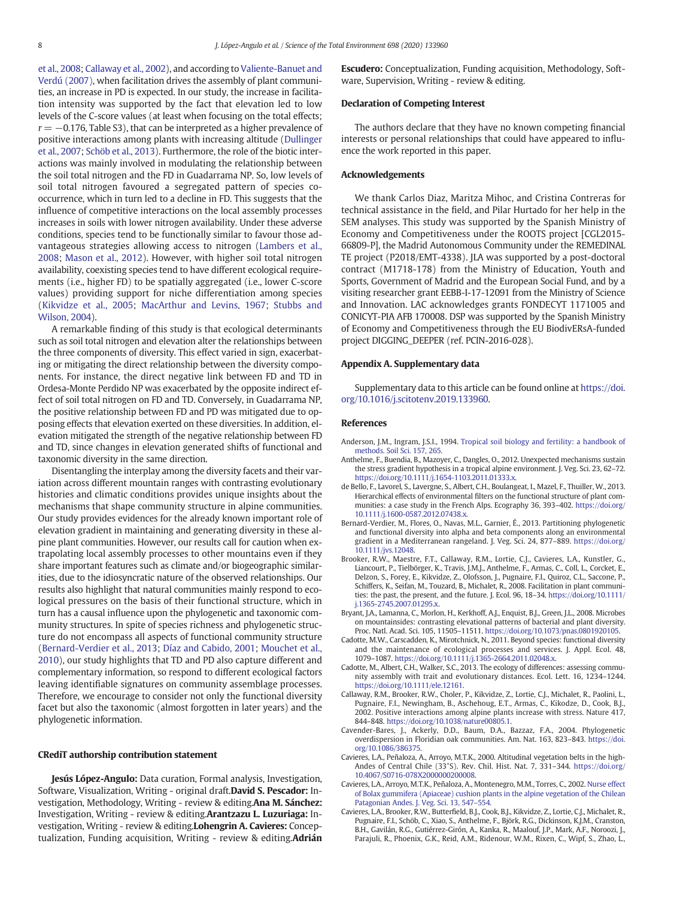<span id="page-7-0"></span>et al., 2008; Callaway et al., 2002), and according to [Valiente-Banuet and](#page-9-0) [Verdú \(2007\),](#page-9-0) when facilitation drives the assembly of plant communities, an increase in PD is expected. In our study, the increase in facilitation intensity was supported by the fact that elevation led to low levels of the C-score values (at least when focusing on the total effects;  $r = -0.176$ , Table S3), that can be interpreted as a higher prevalence of positive interactions among plants with increasing altitude [\(Dullinger](#page-8-0) [et al., 2007;](#page-8-0) [Schöb et al., 2013\)](#page-9-0). Furthermore, the role of the biotic interactions was mainly involved in modulating the relationship between the soil total nitrogen and the FD in Guadarrama NP. So, low levels of soil total nitrogen favoured a segregated pattern of species cooccurrence, which in turn led to a decline in FD. This suggests that the influence of competitive interactions on the local assembly processes increases in soils with lower nitrogen availability. Under these adverse conditions, species tend to be functionally similar to favour those advantageous strategies allowing access to nitrogen [\(Lambers et al.,](#page-8-0) [2008](#page-8-0); [Mason et al., 2012\)](#page-8-0). However, with higher soil total nitrogen availability, coexisting species tend to have different ecological requirements (i.e., higher FD) to be spatially aggregated (i.e., lower C-score values) providing support for niche differentiation among species [\(Kikvidze et al., 2005;](#page-8-0) [MacArthur and Levins, 1967;](#page-8-0) [Stubbs and](#page-9-0) [Wilson, 2004\)](#page-9-0).

A remarkable finding of this study is that ecological determinants such as soil total nitrogen and elevation alter the relationships between the three components of diversity. This effect varied in sign, exacerbating or mitigating the direct relationship between the diversity components. For instance, the direct negative link between FD and TD in Ordesa-Monte Perdido NP was exacerbated by the opposite indirect effect of soil total nitrogen on FD and TD. Conversely, in Guadarrama NP, the positive relationship between FD and PD was mitigated due to opposing effects that elevation exerted on these diversities. In addition, elevation mitigated the strength of the negative relationship between FD and TD, since changes in elevation generated shifts of functional and taxonomic diversity in the same direction.

Disentangling the interplay among the diversity facets and their variation across different mountain ranges with contrasting evolutionary histories and climatic conditions provides unique insights about the mechanisms that shape community structure in alpine communities. Our study provides evidences for the already known important role of elevation gradient in maintaining and generating diversity in these alpine plant communities. However, our results call for caution when extrapolating local assembly processes to other mountains even if they share important features such as climate and/or biogeographic similarities, due to the idiosyncratic nature of the observed relationships. Our results also highlight that natural communities mainly respond to ecological pressures on the basis of their functional structure, which in turn has a causal influence upon the phylogenetic and taxonomic community structures. In spite of species richness and phylogenetic structure do not encompass all aspects of functional community structure (Bernard-Verdier et al., 2013; [Díaz and Cabido, 2001;](#page-8-0) [Mouchet et al.,](#page-8-0) [2010\)](#page-8-0), our study highlights that TD and PD also capture different and complementary information, so respond to different ecological factors leaving identifiable signatures on community assemblage processes. Therefore, we encourage to consider not only the functional diversity facet but also the taxonomic (almost forgotten in later years) and the phylogenetic information.

### CRediT authorship contribution statement

Jesús López-Angulo: Data curation, Formal analysis, Investigation, Software, Visualization, Writing - original draft.David S. Pescador: Investigation, Methodology, Writing - review & editing. Ana M. Sánchez: Investigation, Writing - review & editing.Arantzazu L. Luzuriaga: Investigation, Writing - review & editing.Lohengrin A. Cavieres: Conceptualization, Funding acquisition, Writing - review & editing. Adrián Escudero: Conceptualization, Funding acquisition, Methodology, Software, Supervision, Writing - review & editing.

#### Declaration of Competing Interest

The authors declare that they have no known competing financial interests or personal relationships that could have appeared to influence the work reported in this paper.

### Acknowledgements

We thank Carlos Diaz, Maritza Mihoc, and Cristina Contreras for technical assistance in the field, and Pilar Hurtado for her help in the SEM analyses. This study was supported by the Spanish Ministry of Economy and Competitiveness under the ROOTS project [CGL2015- 66809-P], the Madrid Autonomous Community under the REMEDINAL TE project (P2018/EMT-4338). JLA was supported by a post-doctoral contract (M1718-178) from the Ministry of Education, Youth and Sports, Government of Madrid and the European Social Fund, and by a visiting researcher grant EEBB-I-17-12091 from the Ministry of Science and Innovation. LAC acknowledges grants FONDECYT 1171005 and CONICYT-PIA AFB 170008. DSP was supported by the Spanish Ministry of Economy and Competitiveness through the EU BiodivERsA-funded project DIGGING\_DEEPER (ref. PCIN-2016-028).

#### Appendix A. Supplementary data

Supplementary data to this article can be found online at [https://doi.](https://doi.org/10.1016/j.scitotenv.2019.133960) [org/10.1016/j.scitotenv.2019.133960.](https://doi.org/10.1016/j.scitotenv.2019.133960)

#### References

- Anderson, J.M., Ingram, J.S.I., 1994. [Tropical soil biology and fertility: a handbook of](http://refhub.elsevier.com/S0048-9697(19)33930-0/rf0005) [methods. Soil Sci. 157, 265.](http://refhub.elsevier.com/S0048-9697(19)33930-0/rf0005)
- Anthelme, F., Buendia, B., Mazoyer, C., Dangles, O., 2012. Unexpected mechanisms sustain the stress gradient hypothesis in a tropical alpine environment. J. Veg. Sci. 23, 62–72. <https://doi.org/10.1111/j.1654-1103.2011.01333.x>.
- de Bello, F., Lavorel, S., Lavergne, S., Albert, C.H., Boulangeat, I., Mazel, F., Thuiller, W., 2013. Hierarchical effects of environmental filters on the functional structure of plant communities: a case study in the French Alps. Ecography 36, 393–402. [https://doi.org/](https://doi.org/10.1111/j.1600-0587.2012.07438.x) [10.1111/j.1600-0587.2012.07438.x](https://doi.org/10.1111/j.1600-0587.2012.07438.x).
- Bernard-Verdier, M., Flores, O., Navas, M.L., Garnier, É., 2013. Partitioning phylogenetic and functional diversity into alpha and beta components along an environmental gradient in a Mediterranean rangeland. J. Veg. Sci. 24, 877–889. [https://doi.org/](https://doi.org/10.1111/jvs.12048) [10.1111/jvs.12048.](https://doi.org/10.1111/jvs.12048)
- Brooker, R.W., Maestre, F.T., Callaway, R.M., Lortie, C.J., Cavieres, L.A., Kunstler, G., Liancourt, P., Tielbörger, K., Travis, J.M.J., Anthelme, F., Armas, C., Coll, L., Corcket, E., Delzon, S., Forey, E., Kikvidze, Z., Olofsson, J., Pugnaire, F.I., Quiroz, C.L., Saccone, P., Schiffers, K., Seifan, M., Touzard, B., Michalet, R., 2008. Facilitation in plant communities: the past, the present, and the future. J. Ecol. 96, 18–34. [https://doi.org/10.1111/](https://doi.org/10.1111/j.1365-2745.2007.01295.x) [j.1365-2745.2007.01295.x](https://doi.org/10.1111/j.1365-2745.2007.01295.x).
- Bryant, J.A., Lamanna, C., Morlon, H., Kerkhoff, A.J., Enquist, B.J., Green, J.L., 2008. Microbes on mountainsides: contrasting elevational patterns of bacterial and plant diversity. Proc. Natl. Acad. Sci. 105, 11505–11511. [https://doi.org/10.1073/pnas.0801920105.](https://doi.org/10.1073/pnas.0801920105)
- Cadotte, M.W., Carscadden, K., Mirotchnick, N., 2011. Beyond species: functional diversity and the maintenance of ecological processes and services. J. Appl. Ecol. 48, 1079–1087. [https://doi.org/10.1111/j.1365-2664.2011.02048.x.](https://doi.org/10.1111/j.1365-2664.2011.02048.x)
- Cadotte, M., Albert, C.H., Walker, S.C., 2013. The ecology of differences: assessing community assembly with trait and evolutionary distances. Ecol. Lett. 16, 1234–1244. [https://doi.org/10.1111/ele.12161.](https://doi.org/10.1111/ele.12161)
- Callaway, R.M., Brooker, R.W., Choler, P., Kikvidze, Z., Lortie, C.J., Michalet, R., Paolini, L., Pugnaire, F.I., Newingham, B., Aschehoug, E.T., Armas, C., Kikodze, D., Cook, B.J., 2002. Positive interactions among alpine plants increase with stress. Nature 417, 844–848. [https://doi.org/10.1038/nature00805.1.](https://doi.org/10.1038/nature00805.1)
- Cavender-Bares, J., Ackerly, D.D., Baum, D.A., Bazzaz, F.A., 2004. Phylogenetic overdispersion in Floridian oak communities. Am. Nat. 163, 823–843. [https://doi.](https://doi.org/10.1086/386375) [org/10.1086/386375.](https://doi.org/10.1086/386375)
- Cavieres, L.A., Peñaloza, A., Arroyo, M.T.K., 2000. Altitudinal vegetation belts in the high-Andes of Central Chile (33°S). Rev. Chil. Hist. Nat. 7, 331–344. [https://doi.org/](https://doi.org/10.4067/S0716-078X2000000200008) [10.4067/S0716-078X2000000200008.](https://doi.org/10.4067/S0716-078X2000000200008)
- Cavieres, L.A., Arroyo, M.T.K., Peñaloza, A., Montenegro, M.M., Torres, C., 2002. [Nurse effect](http://refhub.elsevier.com/S0048-9697(19)33930-0/rf0060) [of Bolax gummifera \(Apiaceae\) cushion plants in the alpine vegetation of the Chilean](http://refhub.elsevier.com/S0048-9697(19)33930-0/rf0060) [Patagonian Andes. J. Veg. Sci. 13, 547](http://refhub.elsevier.com/S0048-9697(19)33930-0/rf0060)–554.
- Cavieres, L.A., Brooker, R.W., Butterfield, B.J., Cook, B.J., Kikvidze, Z., Lortie, C.J., Michalet, R., Pugnaire, F.I., Schöb, C., Xiao, S., Anthelme, F., Björk, R.G., Dickinson, K.J.M., Cranston, B.H., Gavilán, R.G., Gutiérrez-Girón, A., Kanka, R., Maalouf, J.P., Mark, A.F., Noroozi, J., Parajuli, R., Phoenix, G.K., Reid, A.M., Ridenour, W.M., Rixen, C., Wipf, S., Zhao, L.,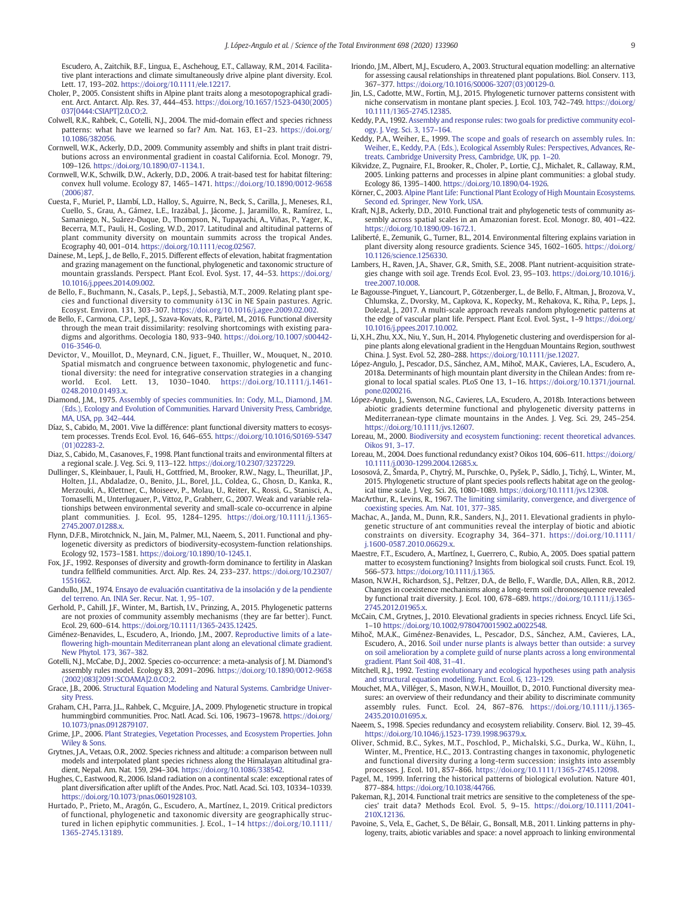<span id="page-8-0"></span>Escudero, A., Zaitchik, B.F., Lingua, E., Aschehoug, E.T., Callaway, R.M., 2014. Facilitative plant interactions and climate simultaneously drive alpine plant diversity. Ecol. Lett. 17, 193–202. <https://doi.org/10.1111/ele.12217>.

- Choler, P., 2005. Consistent shifts in Alpine plant traits along a mesotopographical gradient. Arct. Antarct. Alp. Res. 37, 444–453. [https://doi.org/10.1657/1523-0430\(2005\)](https://doi.org/10.1657/1523-0430(2005)037<0444:CSIAPT>2.0.CO;2) [037\[0444:CSIAPT\]2.0.CO;2](https://doi.org/10.1657/1523-0430(2005)037<0444:CSIAPT>2.0.CO;2).
- Colwell, R.K., Rahbek, C., Gotelli, N.J., 2004. The mid-domain effect and species richness patterns: what have we learned so far? Am. Nat. 163, E1–23. [https://doi.org/](https://doi.org/10.1086/382056) [10.1086/382056.](https://doi.org/10.1086/382056)
- Cornwell, W.K., Ackerly, D.D., 2009. Community assembly and shifts in plant trait distributions across an environmental gradient in coastal California. Ecol. Monogr. 79, 109–126. <https://doi.org/10.1890/07-1134.1>.
- Cornwell, W.K., Schwilk, D.W., Ackerly, D.D., 2006. A trait-based test for habitat filtering: convex hull volume. Ecology 87, 1465–1471. [https://doi.org/10.1890/0012-9658](https://doi.org/10.1890/0012-9658(2006)87) [\(2006\)87](https://doi.org/10.1890/0012-9658(2006)87).
- Cuesta, F., Muriel, P., Llambí, L.D., Halloy, S., Aguirre, N., Beck, S., Carilla, J., Meneses, R.I., Cuello, S., Grau, A., Gámez, L.E., Irazábal, J., Jácome, J., Jaramillo, R., Ramírez, L., Samaniego, N., Suárez-Duque, D., Thompson, N., Tupayachi, A., Viñas, P., Yager, K., Becerra, M.T., Pauli, H., Gosling, W.D., 2017. Latitudinal and altitudinal patterns of plant community diversity on mountain summits across the tropical Andes. Ecography 40, 001–014. [https://doi.org/10.1111/ecog.02567.](https://doi.org/10.1111/ecog.02567)
- Dainese, M., Lepš, J., de Bello, F., 2015. Different effects of elevation, habitat fragmentation and grazing management on the functional, phylogenetic and taxonomic structure of mountain grasslands. Perspect. Plant Ecol. Evol. Syst. 17, 44–53. [https://doi.org/](https://doi.org/10.1016/j.ppees.2014.09.002) [10.1016/j.ppees.2014.09.002](https://doi.org/10.1016/j.ppees.2014.09.002).
- de Bello, F., Buchmann, N., Casals, P., Lepš, J., Sebastià, M.T., 2009. Relating plant species and functional diversity to community δ13C in NE Spain pastures. Agric. Ecosyst. Environ. 131, 303–307. <https://doi.org/10.1016/j.agee.2009.02.002>.
- de Bello, F., Carmona, C.P., Lepš, J., Szava-Kovats, R., Pärtel, M., 2016. Functional diversity through the mean trait dissimilarity: resolving shortcomings with existing paradigms and algorithms. Oecologia 180, 933–940. [https://doi.org/10.1007/s00442-](https://doi.org/10.1007/s00442-016-3546-0) [016-3546-0.](https://doi.org/10.1007/s00442-016-3546-0)
- Devictor, V., Mouillot, D., Meynard, C.N., Jiguet, F., Thuiller, W., Mouquet, N., 2010. Spatial mismatch and congruence between taxonomic, phylogenetic and functional diversity: the need for integrative conservation strategies in a changing world. Ecol. Lett. 13, 1030-1040. https://doi.org/10.1111/j.1461world. Ecol. Lett. 13, 1030–1040. [https://doi.org/10.1111/j.1461-](https://doi.org/10.1111/j.1461-0248.2010.01493.x) [0248.2010.01493.x](https://doi.org/10.1111/j.1461-0248.2010.01493.x).
- Diamond, J.M., 1975. [Assembly of species communities. In: Cody, M.L., Diamond, J.M.](http://refhub.elsevier.com/S0048-9697(19)33930-0/rf0115) [\(Eds.\), Ecology and Evolution of Communities. Harvard University Press, Cambridge,](http://refhub.elsevier.com/S0048-9697(19)33930-0/rf0115) [MA, USA, pp. 342](http://refhub.elsevier.com/S0048-9697(19)33930-0/rf0115)–444.
- Díaz, S., Cabido, M., 2001. Vive la différence: plant functional diversity matters to ecosystem processes. Trends Ecol. Evol. 16, 646–655. [https://doi.org/10.1016/S0169-5347](https://doi.org/10.1016/S0169-5347(01)02283-2) [\(01\)02283-2.](https://doi.org/10.1016/S0169-5347(01)02283-2)
- Diaz, S., Cabido, M., Casanoves, F., 1998. Plant functional traits and environmental filters at a regional scale. J. Veg. Sci. 9, 113–122. <https://doi.org/10.2307/3237229>.
- Dullinger, S., Kleinbauer, I., Pauli, H., Gottfried, M., Brooker, R.W., Nagy, L., Theurillat, J.P., Holten, J.I., Abdaladze, O., Benito, J.L., Borel, J.L., Coldea, G., Ghosn, D., Kanka, R., Merzouki, A., Klettner, C., Moiseev, P., Molau, U., Reiter, K., Rossi, G., Stanisci, A., Tomaselli, M., Unterlugauer, P., Vittoz, P., Grabherr, G., 2007. Weak and variable relationships between environmental severity and small-scale co-occurrence in alpine plant communities. J. Ecol. 95, 1284–1295. [https://doi.org/10.1111/j.1365-](https://doi.org/10.1111/j.1365-2745.2007.01288.x) [2745.2007.01288.x](https://doi.org/10.1111/j.1365-2745.2007.01288.x).
- Flynn, D.F.B., Mirotchnick, N., Jain, M., Palmer, M.I., Naeem, S., 2011. Functional and phylogenetic diversity as predictors of biodiversity-ecosystem-function relationships. Ecology 92, 1573–1581. [https://doi.org/10.1890/10-1245.1.](https://doi.org/10.1890/10-1245.1)
- Fox, J.F., 1992. Responses of diversity and growth-form dominance to fertility in Alaskan tundra fellfield communities. Arct. Alp. Res. 24, 233–237. [https://doi.org/10.2307/](https://doi.org/10.2307/1551662) [1551662](https://doi.org/10.2307/1551662).
- Gandullo, J.M., 1974. [Ensayo de evaluación cuantitativa de la insolación y de la pendiente](http://refhub.elsevier.com/S0048-9697(19)33930-0/rf0145) [del terreno. An. INIA Ser. Recur. Nat. 1, 95](http://refhub.elsevier.com/S0048-9697(19)33930-0/rf0145)–107.
- Gerhold, P., Cahill, J.F., Winter, M., Bartish, I.V., Prinzing, A., 2015. Phylogenetic patterns are not proxies of community assembly mechanisms (they are far better). Funct. Ecol. 29, 600–614. [https://doi.org/10.1111/1365-2435.12425.](https://doi.org/10.1111/1365-2435.12425)
- Giménez-Benavides, L., Escudero, A., Iriondo, J.M., 2007. [Reproductive limits of a late](http://refhub.elsevier.com/S0048-9697(19)33930-0/rf0155)fl[owering high-mountain Mediterranean plant along an elevational climate gradient.](http://refhub.elsevier.com/S0048-9697(19)33930-0/rf0155) [New Phytol. 173, 367](http://refhub.elsevier.com/S0048-9697(19)33930-0/rf0155)–382.
- Gotelli, N.J., McCabe, D.J., 2002. Species co-occurrence: a meta-analysis of J. M. Diamond's assembly rules model. Ecology 83, 2091–2096. [https://doi.org/10.1890/0012-9658](https://doi.org/10.1890/0012-9658(2002)083<2091:SCOAMA>2.0.CO;2) [\(2002\)083\[2091:SCOAMA\]2.0.CO;2](https://doi.org/10.1890/0012-9658(2002)083<2091:SCOAMA>2.0.CO;2).
- Grace, J.B., 2006. [Structural Equation Modeling and Natural Systems. Cambridge Univer](http://refhub.elsevier.com/S0048-9697(19)33930-0/rf0165)[sity Press](http://refhub.elsevier.com/S0048-9697(19)33930-0/rf0165).
- Graham, C.H., Parra, J.L., Rahbek, C., Mcguire, J.A., 2009. Phylogenetic structure in tropical hummingbird communities. Proc. Natl. Acad. Sci. 106, 19673–19678. [https://doi.org/](https://doi.org/10.1073/pnas.0912879107) [10.1073/pnas.0912879107.](https://doi.org/10.1073/pnas.0912879107)
- Grime, J.P., 2006. [Plant Strategies, Vegetation Processes, and Ecosystem Properties. John](http://refhub.elsevier.com/S0048-9697(19)33930-0/rf0175) [Wiley & Sons](http://refhub.elsevier.com/S0048-9697(19)33930-0/rf0175).
- Grytnes, J.A., Vetaas, O.R., 2002. Species richness and altitude: a comparison between null models and interpolated plant species richness along the Himalayan altitudinal gradient, Nepal. Am. Nat. 159, 294–304. [https://doi.org/10.1086/338542.](https://doi.org/10.1086/338542)
- Hughes, C., Eastwood, R., 2006. Island radiation on a continental scale: exceptional rates of plant diversification after uplift of the Andes. Proc. Natl. Acad. Sci. 103, 10334–10339. [https://doi.org/10.1073/pnas.0601928103.](https://doi.org/10.1073/pnas.0601928103)
- Hurtado, P., Prieto, M., Aragón, G., Escudero, A., Martínez, I., 2019. Critical predictors of functional, phylogenetic and taxonomic diversity are geographically structured in lichen epiphytic communities. J. Ecol., 1–14 [https://doi.org/10.1111/](https://doi.org/10.1111/1365-2745.13189) [1365-2745.13189](https://doi.org/10.1111/1365-2745.13189).
- Iriondo, J.M., Albert, M.J., Escudero, A., 2003. Structural equation modelling: an alternative for assessing causal relationships in threatened plant populations. Biol. Conserv. 113, 367–377. [https://doi.org/10.1016/S0006-3207\(03\)00129-0](https://doi.org/10.1016/S0006-3207(03)00129-0).
- Jin, L.S., Cadotte, M.W., Fortin, M.J., 2015. Phylogenetic turnover patterns consistent with niche conservatism in montane plant species. J. Ecol. 103, 742–749. [https://doi.org/](https://doi.org/10.1111/1365-2745.12385) [10.1111/1365-2745.12385](https://doi.org/10.1111/1365-2745.12385).
- Keddy, P.A., 1992. [Assembly and response rules: two goals for predictive community ecol](http://refhub.elsevier.com/S0048-9697(19)33930-0/rf0205)[ogy. J. Veg. Sci. 3, 157](http://refhub.elsevier.com/S0048-9697(19)33930-0/rf0205)–164.
- Keddy, P.A., Weiher, E., 1999. [The scope and goals of research on assembly rules. In:](http://refhub.elsevier.com/S0048-9697(19)33930-0/rf0210) [Weiher, E., Keddy, P.A. \(Eds.\), Ecological Assembly Rules: Perspectives, Advances, Re](http://refhub.elsevier.com/S0048-9697(19)33930-0/rf0210)[treats. Cambridge University Press, Cambridge, UK, pp. 1](http://refhub.elsevier.com/S0048-9697(19)33930-0/rf0210)–20.
- Kikvidze, Z., Pugnaire, F.I., Brooker, R., Choler, P., Lortie, C.J., Michalet, R., Callaway, R.M., 2005. Linking patterns and processes in alpine plant communities: a global study. Ecology 86, 1395–1400. [https://doi.org/10.1890/04-1926.](https://doi.org/10.1890/04-1926)
- Körner, C., 2003. [Alpine Plant Life: Functional Plant Ecology of High Mountain Ecosystems.](http://refhub.elsevier.com/S0048-9697(19)33930-0/rf0220) [Second ed. Springer, New York, USA](http://refhub.elsevier.com/S0048-9697(19)33930-0/rf0220).
- Kraft, N.J.B., Ackerly, D.D., 2010. Functional trait and phylogenetic tests of community assembly across spatial scales in an Amazonian forest. Ecol. Monogr. 80, 401–422. <https://doi.org/10.1890/09-1672.1>.
- Laliberté, E., Zemunik, G., Turner, B.L., 2014. Environmental filtering explains variation in plant diversity along resource gradients. Science 345, 1602–1605. [https://doi.org/](https://doi.org/10.1126/science.1256330) [10.1126/science.1256330](https://doi.org/10.1126/science.1256330).
- Lambers, H., Raven, J.A., Shaver, G.R., Smith, S.E., 2008. Plant nutrient-acquisition strategies change with soil age. Trends Ecol. Evol. 23, 95–103. [https://doi.org/10.1016/j.](https://doi.org/10.1016/j.tree.2007.10.008) [tree.2007.10.008.](https://doi.org/10.1016/j.tree.2007.10.008)
- Le Bagousse-Pinguet, Y., Liancourt, P., Götzenberger, L., de Bello, F., Altman, J., Brozova, V., Chlumska, Z., Dvorsky, M., Capkova, K., Kopecky, M., Rehakova, K., Riha, P., Leps, J., Dolezal, J., 2017. A multi-scale approach reveals random phylogenetic patterns at the edge of vascular plant life. Perspect. Plant Ecol. Evol. Syst., 1–9 [https://doi.org/](https://doi.org/10.1016/j.ppees.2017.10.002) [10.1016/j.ppees.2017.10.002](https://doi.org/10.1016/j.ppees.2017.10.002).
- Li, X.H., Zhu, X.X., Niu, Y., Sun, H., 2014. Phylogenetic clustering and overdispersion for alpine plants along elevational gradient in the Hengduan Mountains Region, southwest China. J. Syst. Evol. 52, 280–288. <https://doi.org/10.1111/jse.12027>.
- López-Angulo, J., Pescador, D.S., Sánchez, A.M., Mihoč, M.A.K., Cavieres, L.A., Escudero, A., 2018a. Determinants of high mountain plant diversity in the Chilean Andes: from regional to local spatial scales. PLoS One 13, 1–16. [https://doi.org/10.1371/journal.](https://doi.org/10.1371/journal.pone.0200216) [pone.0200216.](https://doi.org/10.1371/journal.pone.0200216)
- López-Angulo, J., Swenson, N.G., Cavieres, L.A., Escudero, A., 2018b. Interactions between abiotic gradients determine functional and phylogenetic diversity patterns in Mediterranean-type climate mountains in the Andes. J. Veg. Sci. 29, 245–254. <https://doi.org/10.1111/jvs.12607>.
- Loreau, M., 2000. [Biodiversity and ecosystem functioning: recent theoretical advances.](http://refhub.elsevier.com/S0048-9697(19)33930-0/rf0260) [Oikos 91, 3](http://refhub.elsevier.com/S0048-9697(19)33930-0/rf0260)–17.
- Loreau, M., 2004. Does functional redundancy exist? Oikos 104, 606–611. [https://doi.org/](https://doi.org/10.1111/j.0030-1299.2004.12685.x) [10.1111/j.0030-1299.2004.12685.x](https://doi.org/10.1111/j.0030-1299.2004.12685.x).
- Lososová, Z., Šmarda, P., Chytrý, M., Purschke, O., Pyšek, P., Sádlo, J., Tichý, L., Winter, M., 2015. Phylogenetic structure of plant species pools reflects habitat age on the geological time scale. J. Veg. Sci. 26, 1080–1089. [https://doi.org/10.1111/jvs.12308.](https://doi.org/10.1111/jvs.12308)
- MacArthur, R., Levins, R., 1967. [The limiting similarity, convergence, and divergence of](http://refhub.elsevier.com/S0048-9697(19)33930-0/rf0275) [coexisting species. Am. Nat. 101, 377](http://refhub.elsevier.com/S0048-9697(19)33930-0/rf0275)–385.
- Machac, A., Janda, M., Dunn, R.R., Sanders, N.J., 2011. Elevational gradients in phylogenetic structure of ant communities reveal the interplay of biotic and abiotic constraints on diversity. Ecography 34, 364–371. [https://doi.org/10.1111/](https://doi.org/10.1111/j.1600-0587.2010.06629.x) [j.1600-0587.2010.06629.x.](https://doi.org/10.1111/j.1600-0587.2010.06629.x)
- Maestre, F.T., Escudero, A., Martínez, I., Guerrero, C., Rubio, A., 2005. Does spatial pattern matter to ecosystem functioning? Insights from biological soil crusts. Funct. Ecol. 19, 566–573. [https://doi.org/10.1111/j.1365.](https://doi.org/10.1111/j.1365)
- Mason, N.W.H., Richardson, S.J., Peltzer, D.A., de Bello, F., Wardle, D.A., Allen, R.B., 2012. Changes in coexistence mechanisms along a long-term soil chronosequence revealed by functional trait diversity. J. Ecol. 100, 678–689. [https://doi.org/10.1111/j.1365-](https://doi.org/10.1111/j.1365-2745.2012.01965.x) [2745.2012.01965.x](https://doi.org/10.1111/j.1365-2745.2012.01965.x).
- McCain, C.M., Grytnes, J., 2010. Elevational gradients in species richness. Encycl. Life Sci., 1–10 <https://doi.org/10.1002/9780470015902.a0022548>.
- Mihoč, M.A.K., Giménez-Benavides, L., Pescador, D.S., Sánchez, A.M., Cavieres, L.A., Escudero, A., 2016. [Soil under nurse plants is always better than outside: a survey](http://refhub.elsevier.com/S0048-9697(19)33930-0/rf0300) [on soil amelioration by a complete guild of nurse plants across a long environmental](http://refhub.elsevier.com/S0048-9697(19)33930-0/rf0300) [gradient. Plant Soil 408, 31](http://refhub.elsevier.com/S0048-9697(19)33930-0/rf0300)–41.
- Mitchell, R.J., 1992. [Testing evolutionary and ecological hypotheses using path analysis](http://refhub.elsevier.com/S0048-9697(19)33930-0/rf0305) [and structural equation modelling. Funct. Ecol. 6, 123](http://refhub.elsevier.com/S0048-9697(19)33930-0/rf0305)–129.
- Mouchet, M.A., Villéger, S., Mason, N.W.H., Mouillot, D., 2010. Functional diversity measures: an overview of their redundancy and their ability to discriminate community assembly rules. Funct. Ecol. 24, 867–876. [https://doi.org/10.1111/j.1365-](https://doi.org/10.1111/j.1365-2435.2010.01695.x) [2435.2010.01695.x](https://doi.org/10.1111/j.1365-2435.2010.01695.x).
- Naeem, S., 1998. Species redundancy and ecosystem reliability. Conserv. Biol. 12, 39–45. <https://doi.org/10.1046/j.1523-1739.1998.96379.x>.
- Oliver, Schmid, B.C., Sykes, M.T., Poschlod, P., Michalski, S.G., Durka, W., Kühn, I., Winter, M., Prentice, H.C., 2013. Contrasting changes in taxonomic, phylogenetic and functional diversity during a long-term succession: insights into assembly processes. J. Ecol. 101, 857–866. [https://doi.org/10.1111/1365-2745.12098.](https://doi.org/10.1111/1365-2745.12098)
- Pagel, M., 1999. Inferring the historical patterns of biological evolution. Nature 401, 877–884. <https://doi.org/10.1038/44766>.
- Pakeman, R.J., 2014. Functional trait metrics are sensitive to the completeness of the species' trait data? Methods Ecol. Evol. 5, 9–15. [https://doi.org/10.1111/2041-](https://doi.org/10.1111/2041-210X.12136) [210X.12136](https://doi.org/10.1111/2041-210X.12136).
- Pavoine, S., Vela, E., Gachet, S., De Bélair, G., Bonsall, M.B., 2011. Linking patterns in phylogeny, traits, abiotic variables and space: a novel approach to linking environmental